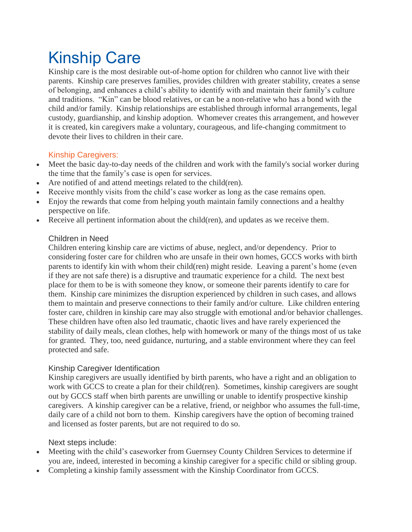# Kinship Care

Kinship care is the most desirable out-of-home option for children who cannot live with their parents. Kinship care preserves families, provides children with greater stability, creates a sense of belonging, and enhances a child's ability to identify with and maintain their family's culture and traditions. "Kin" can be blood relatives, or can be a non-relative who has a bond with the child and/or family. Kinship relationships are established through informal arrangements, legal custody, guardianship, and kinship adoption. Whomever creates this arrangement, and however it is created, kin caregivers make a voluntary, courageous, and life-changing commitment to devote their lives to children in their care.

## Kinship Caregivers:

- Meet the basic day-to-day needs of the children and work with the family's social worker during the time that the family's case is open for services.
- Are notified of and attend meetings related to the child(ren).
- Receive monthly visits from the child's case worker as long as the case remains open.
- Enjoy the rewards that come from helping youth maintain family connections and a healthy perspective on life.
- Receive all pertinent information about the child(ren), and updates as we receive them.

### Children in Need

Children entering kinship care are victims of abuse, neglect, and/or dependency. Prior to considering foster care for children who are unsafe in their own homes, GCCS works with birth parents to identify kin with whom their child(ren) might reside. Leaving a parent's home (even if they are not safe there) is a disruptive and traumatic experience for a child. The next best place for them to be is with someone they know, or someone their parents identify to care for them. Kinship care minimizes the disruption experienced by children in such cases, and allows them to maintain and preserve connections to their family and/or culture. Like children entering foster care, children in kinship care may also struggle with emotional and/or behavior challenges. These children have often also led traumatic, chaotic lives and have rarely experienced the stability of daily meals, clean clothes, help with homework or many of the things most of us take for granted. They, too, need guidance, nurturing, and a stable environment where they can feel protected and safe.

### Kinship Caregiver Identification

Kinship caregivers are usually identified by birth parents, who have a right and an obligation to work with GCCS to create a plan for their child(ren). Sometimes, kinship caregivers are sought out by GCCS staff when birth parents are unwilling or unable to identify prospective kinship caregivers. A kinship caregiver can be a relative, friend, or neighbor who assumes the full-time, daily care of a child not born to them. Kinship caregivers have the option of becoming trained and licensed as foster parents, but are not required to do so.

### Next steps include:

- Meeting with the child's caseworker from Guernsey County Children Services to determine if you are, indeed, interested in becoming a kinship caregiver for a specific child or sibling group.
- Completing a kinship family assessment with the Kinship Coordinator from GCCS.